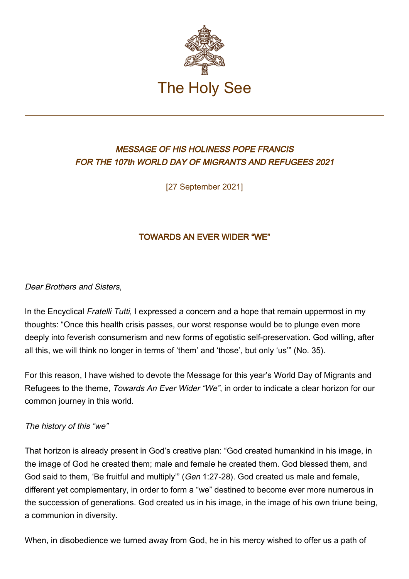

# MESSAGE OF HIS HOLINESS POPE FRANCIS FOR THE 107th WORLD DAY OF MIGRANTS AND REFUGEES 2021

[27 September 2021]

## TOWARDS AN EVER WIDER "WE"

### Dear Brothers and Sisters,

In the Encyclical Fratelli Tutti, I expressed a concern and a hope that remain uppermost in my thoughts: "Once this health crisis passes, our worst response would be to plunge even more deeply into feverish consumerism and new forms of egotistic self-preservation. God willing, after all this, we will think no longer in terms of 'them' and 'those', but only 'us'" (No. 35).

For this reason, I have wished to devote the Message for this year's World Day of Migrants and Refugees to the theme, Towards An Ever Wider "We", in order to indicate a clear horizon for our common journey in this world.

### The history of this "we"

That horizon is already present in God's creative plan: "God created humankind in his image, in the image of God he created them; male and female he created them. God blessed them, and God said to them, 'Be fruitful and multiply'" (Gen 1:27-28). God created us male and female, different yet complementary, in order to form a "we" destined to become ever more numerous in the succession of generations. God created us in his image, in the image of his own triune being, a communion in diversity.

When, in disobedience we turned away from God, he in his mercy wished to offer us a path of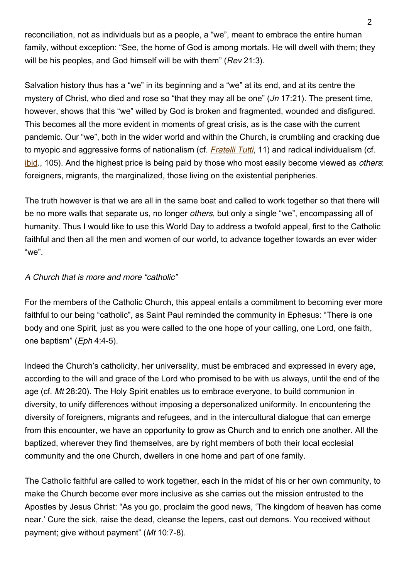reconciliation, not as individuals but as a people, a "we", meant to embrace the entire human family, without exception: "See, the home of God is among mortals. He will dwell with them; they will be his peoples, and God himself will be with them" (Rev 21:3).

Salvation history thus has a "we" in its beginning and a "we" at its end, and at its centre the mystery of Christ, who died and rose so "that they may all be one"  $(Jn 17:21)$ . The present time, however, shows that this "we" willed by God is broken and fragmented, wounded and disfigured. This becomes all the more evident in moments of great crisis, as is the case with the current pandemic. Our "we", both in the wider world and within the Church, is crumbling and cracking due to myopic and aggressive forms of nationalism (cf. [Fratelli Tutti](http://www.vatican.va/content/francesco/en/encyclicals/documents/papa-francesco_20201003_enciclica-fratelli-tutti.html), 11) and radical individualism (cf. [ibid.](http://www.vatican.va/content/francesco/en/encyclicals/documents/papa-francesco_20201003_enciclica-fratelli-tutti.html#105), 105). And the highest price is being paid by those who most easily become viewed as *others*: foreigners, migrants, the marginalized, those living on the existential peripheries.

The truth however is that we are all in the same boat and called to work together so that there will be no more walls that separate us, no longer *others*, but only a single "we", encompassing all of humanity. Thus I would like to use this World Day to address a twofold appeal, first to the Catholic faithful and then all the men and women of our world, to advance together towards an ever wider "we".

### A Church that is more and more "catholic"

For the members of the Catholic Church, this appeal entails a commitment to becoming ever more faithful to our being "catholic", as Saint Paul reminded the community in Ephesus: "There is one body and one Spirit, just as you were called to the one hope of your calling, one Lord, one faith, one baptism" (Eph 4:4-5).

Indeed the Church's catholicity, her universality, must be embraced and expressed in every age, according to the will and grace of the Lord who promised to be with us always, until the end of the age (cf. Mt 28:20). The Holy Spirit enables us to embrace everyone, to build communion in diversity, to unify differences without imposing a depersonalized uniformity. In encountering the diversity of foreigners, migrants and refugees, and in the intercultural dialogue that can emerge from this encounter, we have an opportunity to grow as Church and to enrich one another. All the baptized, wherever they find themselves, are by right members of both their local ecclesial community and the one Church, dwellers in one home and part of one family.

The Catholic faithful are called to work together, each in the midst of his or her own community, to make the Church become ever more inclusive as she carries out the mission entrusted to the Apostles by Jesus Christ: "As you go, proclaim the good news, 'The kingdom of heaven has come near.' Cure the sick, raise the dead, cleanse the lepers, cast out demons. You received without payment; give without payment" (Mt 10:7-8).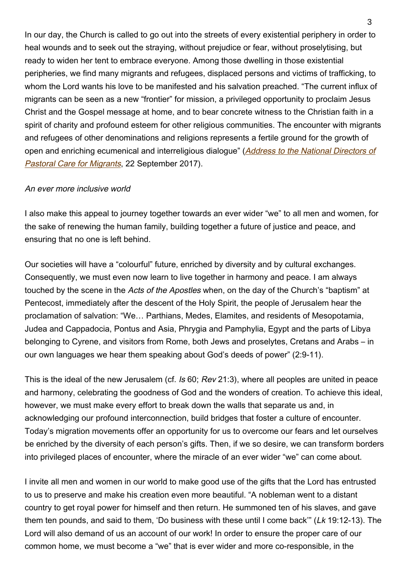In our day, the Church is called to go out into the streets of every existential periphery in order to heal wounds and to seek out the straying, without prejudice or fear, without proselytising, but ready to widen her tent to embrace everyone. Among those dwelling in those existential peripheries, we find many migrants and refugees, displaced persons and victims of trafficking, to whom the Lord wants his love to be manifested and his salvation preached. "The current influx of migrants can be seen as a new "frontier" for mission, a privileged opportunity to proclaim Jesus Christ and the Gospel message at home, and to bear concrete witness to the Christian faith in a spirit of charity and profound esteem for other religious communities. The encounter with migrants and refugees of other denominations and religions represents a fertile ground for the growth of open and enriching ecumenical and interreligious dialogue" ([Address to the National Directors of](http://www.vatican.va/content/francesco/en/speeches/2017/september/documents/papa-francesco_20170922_direttori-pastoralimigranti.html) [Pastoral Care for Migrants](http://www.vatican.va/content/francesco/en/speeches/2017/september/documents/papa-francesco_20170922_direttori-pastoralimigranti.html), 22 September 2017).

### An ever more inclusive world

I also make this appeal to journey together towards an ever wider "we" to all men and women, for the sake of renewing the human family, building together a future of justice and peace, and ensuring that no one is left behind.

Our societies will have a "colourful" future, enriched by diversity and by cultural exchanges. Consequently, we must even now learn to live together in harmony and peace. I am always touched by the scene in the Acts of the Apostles when, on the day of the Church's "baptism" at Pentecost, immediately after the descent of the Holy Spirit, the people of Jerusalem hear the proclamation of salvation: "We… Parthians, Medes, Elamites, and residents of Mesopotamia, Judea and Cappadocia, Pontus and Asia, Phrygia and Pamphylia, Egypt and the parts of Libya belonging to Cyrene, and visitors from Rome, both Jews and proselytes, Cretans and Arabs – in our own languages we hear them speaking about God's deeds of power" (2:9-11).

This is the ideal of the new Jerusalem (cf. Is 60; Rev 21:3), where all peoples are united in peace and harmony, celebrating the goodness of God and the wonders of creation. To achieve this ideal, however, we must make every effort to break down the walls that separate us and, in acknowledging our profound interconnection, build bridges that foster a culture of encounter. Today's migration movements offer an opportunity for us to overcome our fears and let ourselves be enriched by the diversity of each person's gifts. Then, if we so desire, we can transform borders into privileged places of encounter, where the miracle of an ever wider "we" can come about.

I invite all men and women in our world to make good use of the gifts that the Lord has entrusted to us to preserve and make his creation even more beautiful. "A nobleman went to a distant country to get royal power for himself and then return. He summoned ten of his slaves, and gave them ten pounds, and said to them, 'Do business with these until I come back'" (Lk 19:12-13). The Lord will also demand of us an account of our work! In order to ensure the proper care of our common home, we must become a "we" that is ever wider and more co-responsible, in the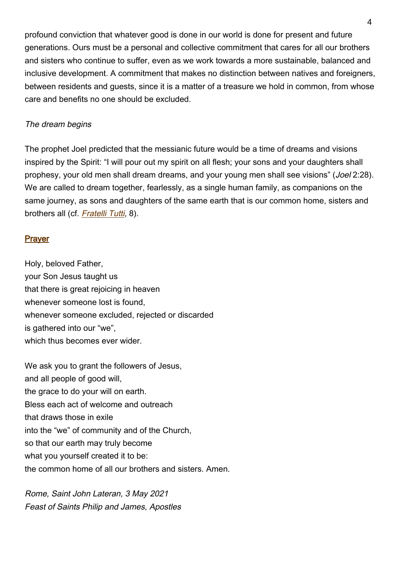profound conviction that whatever good is done in our world is done for present and future generations. Ours must be a personal and collective commitment that cares for all our brothers and sisters who continue to suffer, even as we work towards a more sustainable, balanced and inclusive development. A commitment that makes no distinction between natives and foreigners, between residents and guests, since it is a matter of a treasure we hold in common, from whose care and benefits no one should be excluded.

### The dream begins

The prophet Joel predicted that the messianic future would be a time of dreams and visions inspired by the Spirit: "I will pour out my spirit on all flesh; your sons and your daughters shall prophesy, your old men shall dream dreams, and your young men shall see visions" (Joel 2:28). We are called to dream together, fearlessly, as a single human family, as companions on the same journey, as sons and daughters of the same earth that is our common home, sisters and brothers all (cf. [Fratelli Tutti](http://www.vatican.va/content/francesco/en/encyclicals/documents/papa-francesco_20201003_enciclica-fratelli-tutti.html#8), 8).

### Prayer

Holy, beloved Father, your Son Jesus taught us that there is great rejoicing in heaven whenever someone lost is found, whenever someone excluded, rejected or discarded is gathered into our "we", which thus becomes ever wider.

We ask you to grant the followers of Jesus, and all people of good will, the grace to do your will on earth. Bless each act of welcome and outreach that draws those in exile into the "we" of community and of the Church, so that our earth may truly become what you yourself created it to be: the common home of all our brothers and sisters. Amen.

Rome, Saint John Lateran, 3 May 2021 Feast of Saints Philip and James, Apostles